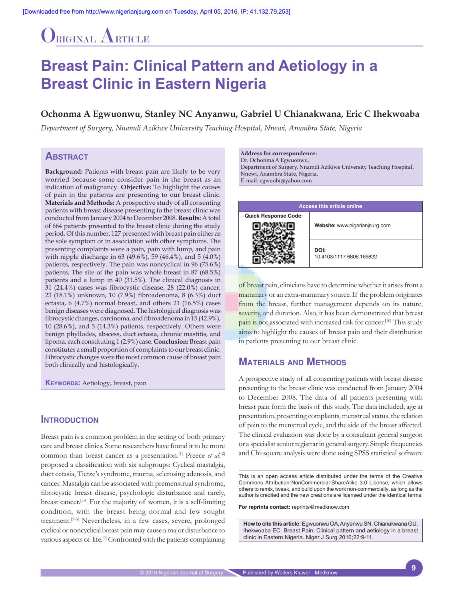# ORIGINAL ARTICLE

# **Breast Pain: Clinical Pattern and Aetiology in a Breast Clinic in Eastern Nigeria**

#### **Ochonma A Egwuonwu, Stanley NC Anyanwu, Gabriel U Chianakwana, Eric C Ihekwoaba**

*Department of Surgery, Nnamdi Azikiwe University Teaching Hospital, Nnewi, Anambra State, Nigeria*

### **Abstract**

Background: Patients with breast pain are likely to be very worried because some consider pain in the breast as an indication of malignancy. **Objective:** To highlight the causes of pain in the patients are presenting to our breast clinic. **Materials and Methods:** A prospective study of all consenting patients with breast disease presenting to the breast clinic was conducted from January 2004 to December 2008. **Results:** A total of 664 patients presented to the breast clinic during the study period. Of this number, 127 presented with breast pain either as the sole symptom or in association with other symptoms. The presenting complaints were a pain, pain with lump, and pain with nipple discharge in 63 (49.6%), 59 (46.4%), and 5 (4.0%) patients, respectively. The pain was noncyclical in 96 (75.6%) patients. The site of the pain was whole breast in 87 (68.5%) patients and a lump in 40 (31.5%). The clinical diagnosis in 31 (24.4%) cases was fibrocystic disease, 28 (22.0%) cancer, 23 (18.1%) unknown, 10 (7.9%) fibroadenoma, 8 (6.3%) duct ectasia, 6 (4.7%) normal breast, and others 21 (16.5%) cases benign diseases were diagnosed. The histological diagnosis was fibrocystic changes, carcinoma, and fibroadenoma in 15 (42.9%), 10 (28.6%), and 5 (14.3%) patients, respectively. Others were benign phyllodes, abscess, duct ectasia, chronic mastitis, and lipoma, each constituting 1 (2.9%) case. **Conclusion:** Breast pain constitutes a small proportion of complaints to our breast clinic. Fibrocystic changes were the most common cause of breast pain both clinically and histologically.

**KEYWORDS:** Aetiology, breast, pain

#### **INTRODUCTION**

Breast pain is a common problem in the setting of both primary care and breast clinics. Some researchers have found it to be more common than breast cancer as a presentation.<sup>[1]</sup> Preece *et al.*<sup>[2]</sup> proposed a classification with six subgroups: Cyclical mastalgia, duct ectasia, Tietze's syndrome, trauma, sclerosing adenosis, and cancer. Mastalgia can be associated with premenstrual syndrome, fibrocystic breast disease, psychologic disturbance and rarely, breast cancer.<sup>[3,4]</sup> For the majority of women, it is a self-limiting condition, with the breast being normal and few sought treatment.<sup>[5-8]</sup> Nevertheless, in a few cases, severe, prolonged cyclical or noncyclical breast pain may cause a major disturbance to various aspects of life.<sup>[9]</sup> Confronted with the patients complaining

**Address for correspondence:**  Dr. Ochonma A Egwuonwu,

Department of Surgery, Nnamdi Azikiwe University Teaching Hospital, Nnewi, Anambra State, Nigeria. E‑mail: egwuobi@yahoo.com

| <b>Access this article online</b> |                                  |
|-----------------------------------|----------------------------------|
| <b>Quick Response Code:</b>       | Website: www.nigerianjsurg.com   |
|                                   | DOI:<br>10.4103/1117-6806.169822 |

of breast pain, clinicians have to determine whether it arises from a mammary or an extra-mammary source. If the problem originates from the breast, further management depends on its nature, severity, and duration. Also, it has been demonstrated that breast pain is not associated with increased risk for cancer.<sup>[10]</sup> This study aims to highlight the causes of breast pain and their distribution in patients presenting to our breast clinic.

# **Materials and Methods**

A prospective study of all consenting patients with breast disease presenting to the breast clinic was conducted from January 2004 to December 2008. The data of all patients presenting with breast pain form the basis of this study. The data included; age at presentation, presenting complaints, menstrual status, the relation of pain to the menstrual cycle, and the side of the breast affected. The clinical evaluation was done by a consultant general surgeon or a specialist senior registrar in general surgery. Simple frequencies and Chi‑square analysis were done using SPSS statistical software

This is an open access article distributed under the terms of the Creative Commons Attribution‑NonCommercial‑ShareAlike 3.0 License, which allows others to remix, tweak, and build upon the work non‑commercially, as long as the author is credited and the new creations are licensed under the identical terms.

**For reprints contact:** reprints@medknow.com

**How to cite this article:** Egwuonwu OA, Anyanwu SN, Chianakwana GU, Ihekwoaba EC. Breast Pain: Clinical pattern and aetiology in a breast clinic in Eastern Nigeria. Niger J Surg 2016;22:9-11.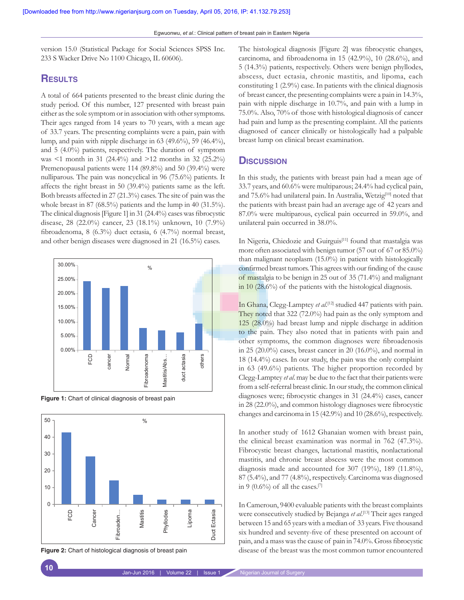version 15.0 (Statistical Package for Social Sciences SPSS Inc. 233 S Wacker Drive No 1100 Chicago, IL 60606).

## **Results**

A total of 664 patients presented to the breast clinic during the study period. Of this number, 127 presented with breast pain either as the sole symptom or in association with other symptoms. Their ages ranged from 14 years to 70 years, with a mean age of 33.7 years. The presenting complaints were a pain, pain with lump, and pain with nipple discharge in 63 (49.6%), 59 (46.4%), and 5 (4.0%) patients, respectively. The duration of symptom was <1 month in 31 (24.4%) and >12 months in 32 (25.2%) Premenopausal patients were 114 (89.8%) and 50 (39.4%) were nulliparous. The pain was noncyclical in 96 (75.6%) patients. It affects the right breast in 50 (39.4%) patients same as the left. Both breasts affected in 27 (21.3%) cases. The site of pain was the whole breast in 87 (68.5%) patients and the lump in 40 (31.5%). The clinical diagnosis [Figure 1] in 31 (24.4%) cases was fibrocystic disease, 28 (22.0%) cancer, 23 (18.1%) unknown, 10 (7.9%) fibroadenoma, 8 (6.3%) duct ectasia, 6 (4.7%) normal breast, and other benign diseases were diagnosed in 21 (16.5%) cases.



**Figure 1:** Chart of clinical diagnosis of breast pain



**Figure 2:** Chart of histological diagnosis of breast pain

The histological diagnosis [Figure 2] was fibrocystic changes, carcinoma, and fibroadenoma in 15 (42.9%), 10 (28.6%), and 5 (14.3%) patients, respectively. Others were benign phyllodes, abscess, duct ectasia, chronic mastitis, and lipoma, each constituting 1 (2.9%) case. In patients with the clinical diagnosis of breast cancer, the presenting complaints were a pain in 14.3%, pain with nipple discharge in 10.7%, and pain with a lump in 75.0%. Also, 70% of those with histological diagnosis of cancer had pain and lump as the presenting complaint. All the patients diagnosed of cancer clinically or histologically had a palpable breast lump on clinical breast examination.

#### **Discussion**

In this study, the patients with breast pain had a mean age of 33.7 years, and 60.6% were multiparous; 24.4% had cyclical pain, and 75.6% had unilateral pain. In Australia, Wetzig<sup>[10]</sup> noted that the patients with breast pain had an average age of 42 years and 87.0% were multiparous, cyclical pain occurred in 59.0%, and unilateral pain occurred in 38.0%.

In Nigeria, Chiedozie and Guirguis<sup>[11]</sup> found that mastalgia was more often associated with benign tumor (57 out of 67 or 85.0%) than malignant neoplasm (15.0%) in patient with histologically confirmed breast tumors. This agrees with our finding of the cause of mastalgia to be benign in 25 out of 35 (71.4%) and malignant in 10 (28.6%) of the patients with the histological diagnosis.

In Ghana, Clegg‑Lamptey *et al*. [12] studied 447 patients with pain. They noted that 322 (72.0%) had pain as the only symptom and 125 (28.0%) had breast lump and nipple discharge in addition to the pain. They also noted that in patients with pain and other symptoms, the common diagnoses were fibroadenosis in 25 (20.0%) cases, breast cancer in 20 (16.0%), and normal in 18 (14.4%) cases. In our study, the pain was the only complaint in 63 (49.6%) patients. The higher proportion recorded by Clegg‑Lamptey *et al*. may be due to the fact that their patients were from a self-referral breast clinic. In our study, the common clinical diagnoses were; fibrocystic changes in 31 (24.4%) cases, cancer in 28 (22.0%), and common histology diagnoses were fibrocystic changes and carcinoma in 15 (42.9%) and 10 (28.6%), respectively.

In another study of 1612 Ghanaian women with breast pain, the clinical breast examination was normal in 762 (47.3%). Fibrocystic breast changes, lactational mastitis, nonlactational mastitis, and chronic breast abscess were the most common diagnosis made and accounted for 307 (19%), 189 (11.8%), 87 (5.4%), and 77 (4.8%), respectively. Carcinoma was diagnosed in 9 (0.6%) of all the cases.<sup>[7]</sup>

In Cameroun, 9400 evaluable patients with the breast complaints were consecutively studied by Bejanga *et al*. [13] Their ages ranged between 15 and 65 years with a median of 33 years. Five thousand six hundred and seventy-five of these presented on account of pain, and a mass was the cause of pain in 74.0%. Gross fibrocystic disease of the breast was the most common tumor encountered